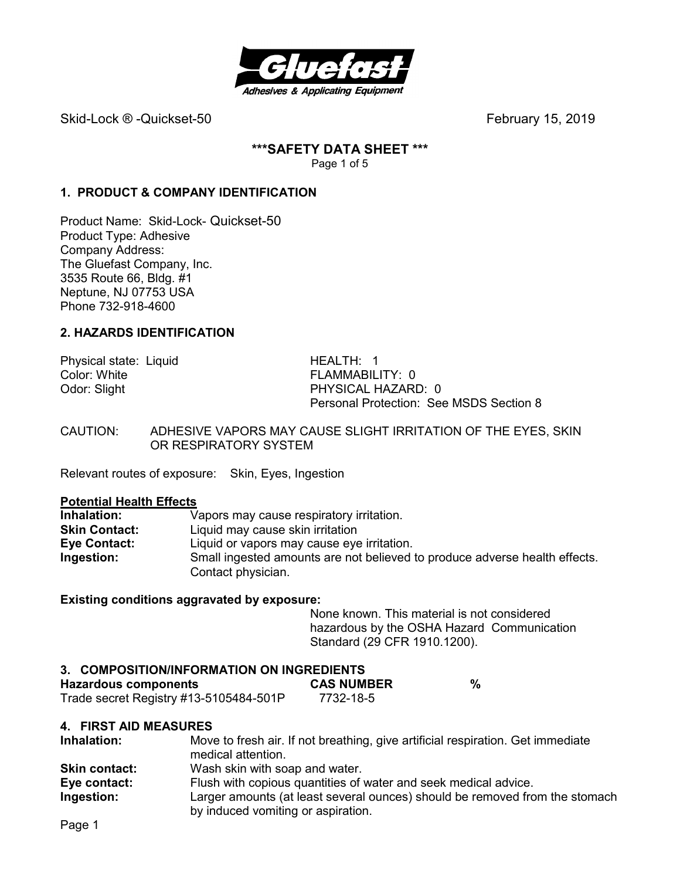

Skid-Lock ® -Quickset-50February 15, 2019

**\*\*\*SAFETY DATA SHEET \*\*\***  Page 1 of 5

## **1. PRODUCT & COMPANY IDENTIFICATION**

Product Name: Skid-Lock- Quickset-50 Product Type: Adhesive Company Address: The Gluefast Company, Inc. 3535 Route 66, Bldg. #1 Neptune, NJ 07753 USA Phone 732-918-4600

## **2. HAZARDS IDENTIFICATION**

Physical state: Liquid **HEALTH: 1**<br>Color: White **HEALTH: 1** Color: White FLAMMABILITY: 0<br>
Odor: Slight FERAMMABILITY: 0

PHYSICAL HAZARD: 0 Personal Protection: See MSDS Section 8

CAUTION: ADHESIVE VAPORS MAY CAUSE SLIGHT IRRITATION OF THE EYES, SKIN OR RESPIRATORY SYSTEM

Relevant routes of exposure: Skin, Eyes, Ingestion

#### **Potential Health Effects**

| Inhalation:          | Vapors may cause respiratory irritation.                                   |
|----------------------|----------------------------------------------------------------------------|
| <b>Skin Contact:</b> | Liquid may cause skin irritation                                           |
| Eye Contact:         | Liquid or vapors may cause eye irritation.                                 |
| Ingestion:           | Small ingested amounts are not believed to produce adverse health effects. |
|                      | Contact physician.                                                         |

#### **Existing conditions aggravated by exposure:**

None known. This material is not considered hazardous by the OSHA Hazard Communication Standard (29 CFR 1910.1200).

#### **3. COMPOSITION/INFORMATION ON INGREDIENTS**

| Hazardous components                   | <b>CAS NUMBER</b> |  |
|----------------------------------------|-------------------|--|
| Trade secret Registry #13-5105484-501P | 7732-18-5         |  |

#### **4. FIRST AID MEASURES**

| Inhalation:          | Move to fresh air. If not breathing, give artificial respiration. Get immediate<br>medical attention.             |
|----------------------|-------------------------------------------------------------------------------------------------------------------|
| <b>Skin contact:</b> | Wash skin with soap and water.                                                                                    |
| Eye contact:         | Flush with copious quantities of water and seek medical advice.                                                   |
| Ingestion:           | Larger amounts (at least several ounces) should be removed from the stomach<br>by induced vomiting or aspiration. |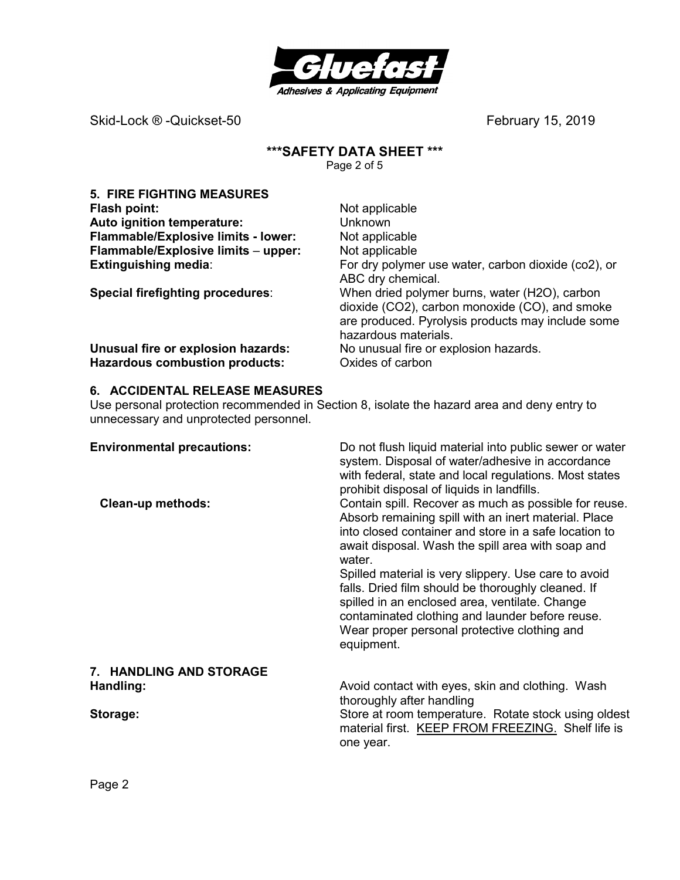

Skid-Lock ® -Quickset-50 **by Example 2019 February 15, 2019** 

## **\*\*\*SAFETY DATA SHEET \*\*\***

Page 2 of 5

| <b>5. FIRE FIGHTING MEASURES</b>      |                                                                                                                                                                              |
|---------------------------------------|------------------------------------------------------------------------------------------------------------------------------------------------------------------------------|
| Flash point:                          | Not applicable                                                                                                                                                               |
| Auto ignition temperature:            | <b>Unknown</b>                                                                                                                                                               |
| Flammable/Explosive limits - lower:   | Not applicable                                                                                                                                                               |
| Flammable/Explosive limits - upper:   | Not applicable                                                                                                                                                               |
| <b>Extinguishing media:</b>           | For dry polymer use water, carbon dioxide (co2), or<br>ABC dry chemical.                                                                                                     |
| Special firefighting procedures:      | When dried polymer burns, water (H2O), carbon<br>dioxide (CO2), carbon monoxide (CO), and smoke<br>are produced. Pyrolysis products may include some<br>hazardous materials. |
| Unusual fire or explosion hazards:    | No unusual fire or explosion hazards.                                                                                                                                        |
| <b>Hazardous combustion products:</b> | Oxides of carbon                                                                                                                                                             |

## **6. ACCIDENTAL RELEASE MEASURES**

Use personal protection recommended in Section 8, isolate the hazard area and deny entry to unnecessary and unprotected personnel.

| <b>Environmental precautions:</b><br><b>Clean-up methods:</b> | Do not flush liquid material into public sewer or water<br>system. Disposal of water/adhesive in accordance<br>with federal, state and local regulations. Most states<br>prohibit disposal of liquids in landfills.<br>Contain spill. Recover as much as possible for reuse.<br>Absorb remaining spill with an inert material. Place<br>into closed container and store in a safe location to<br>await disposal. Wash the spill area with soap and<br>water.<br>Spilled material is very slippery. Use care to avoid<br>falls. Dried film should be thoroughly cleaned. If<br>spilled in an enclosed area, ventilate. Change<br>contaminated clothing and launder before reuse.<br>Wear proper personal protective clothing and |
|---------------------------------------------------------------|---------------------------------------------------------------------------------------------------------------------------------------------------------------------------------------------------------------------------------------------------------------------------------------------------------------------------------------------------------------------------------------------------------------------------------------------------------------------------------------------------------------------------------------------------------------------------------------------------------------------------------------------------------------------------------------------------------------------------------|
|                                                               | equipment.                                                                                                                                                                                                                                                                                                                                                                                                                                                                                                                                                                                                                                                                                                                      |
| 7. HANDLING AND STORAGE                                       |                                                                                                                                                                                                                                                                                                                                                                                                                                                                                                                                                                                                                                                                                                                                 |
| Handling:                                                     | Avoid contact with eyes, skin and clothing. Wash<br>thoroughly after handling                                                                                                                                                                                                                                                                                                                                                                                                                                                                                                                                                                                                                                                   |
| Storage:                                                      | Store at room temperature. Rotate stock using oldest<br>material first. KEEP FROM FREEZING. Shelf life is<br>one year.                                                                                                                                                                                                                                                                                                                                                                                                                                                                                                                                                                                                          |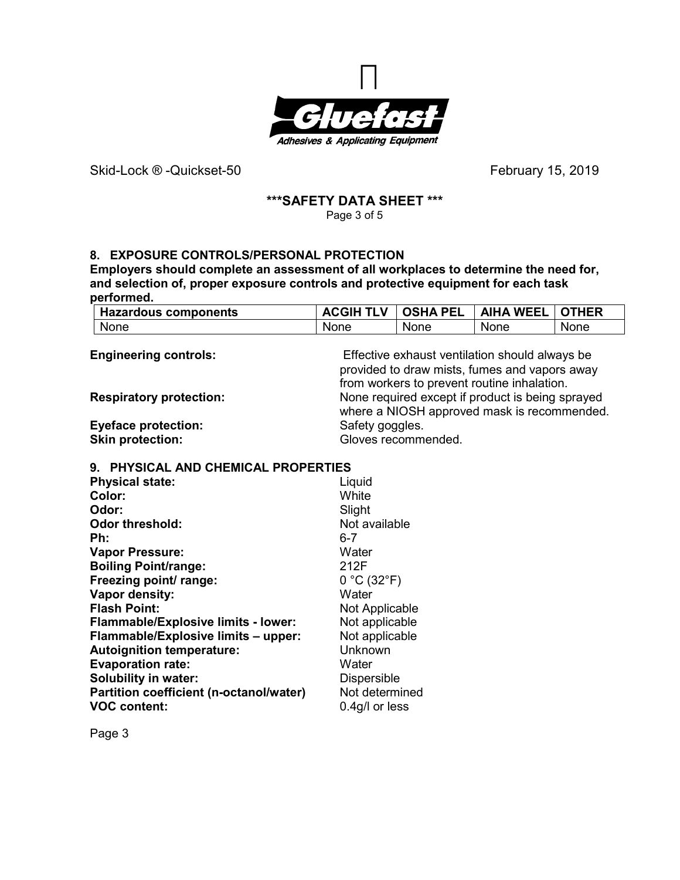

Skid-Lock ® -Quickset-50 *February* 15, 2019

#### **\*\*\*SAFETY DATA SHEET \*\*\***  Page 3 of 5

## **8. EXPOSURE CONTROLS/PERSONAL PROTECTION**

**Employers should complete an assessment of all workplaces to determine the need for, and selection of, proper exposure controls and protective equipment for each task performed.** 

| <b>Hazardous components</b> | <b>ACGIH TLV   OSHA PEL</b> |      | <b>AIHA WEEL</b> | LI OTHER |
|-----------------------------|-----------------------------|------|------------------|----------|
| None                        | None                        | None | None             | None     |

| <b>Engineering controls:</b>   | Effective exhaust ventilation should always be<br>provided to draw mists, fumes and vapors away<br>from workers to prevent routine inhalation. |
|--------------------------------|------------------------------------------------------------------------------------------------------------------------------------------------|
| <b>Respiratory protection:</b> | None required except if product is being sprayed<br>where a NIOSH approved mask is recommended.                                                |
| <b>Eyeface protection:</b>     | Safety goggles.                                                                                                                                |
| <b>Skin protection:</b>        | Gloves recommended.                                                                                                                            |

#### **9. PHYSICAL AND CHEMICAL PROPERTIES**

| <b>Physical state:</b>                     | Liquid             |
|--------------------------------------------|--------------------|
| Color:                                     | White              |
| Odor:                                      | Slight             |
| <b>Odor threshold:</b>                     | Not available      |
| Ph:                                        | $6 - 7$            |
| <b>Vapor Pressure:</b>                     | Water              |
| <b>Boiling Point/range:</b>                | 212F               |
| Freezing point/ range:                     | 0 °C (32 °F)       |
| Vapor density:                             | Water              |
| <b>Flash Point:</b>                        | Not Applicable     |
| <b>Flammable/Explosive limits - lower:</b> | Not applicable     |
| Flammable/Explosive limits - upper:        | Not applicable     |
| <b>Autoignition temperature:</b>           | Unknown            |
| <b>Evaporation rate:</b>                   | Water              |
| <b>Solubility in water:</b>                | <b>Dispersible</b> |
| Partition coefficient (n-octanol/water)    | Not determined     |
| <b>VOC content:</b>                        | 0.4g/l or less     |

Page 3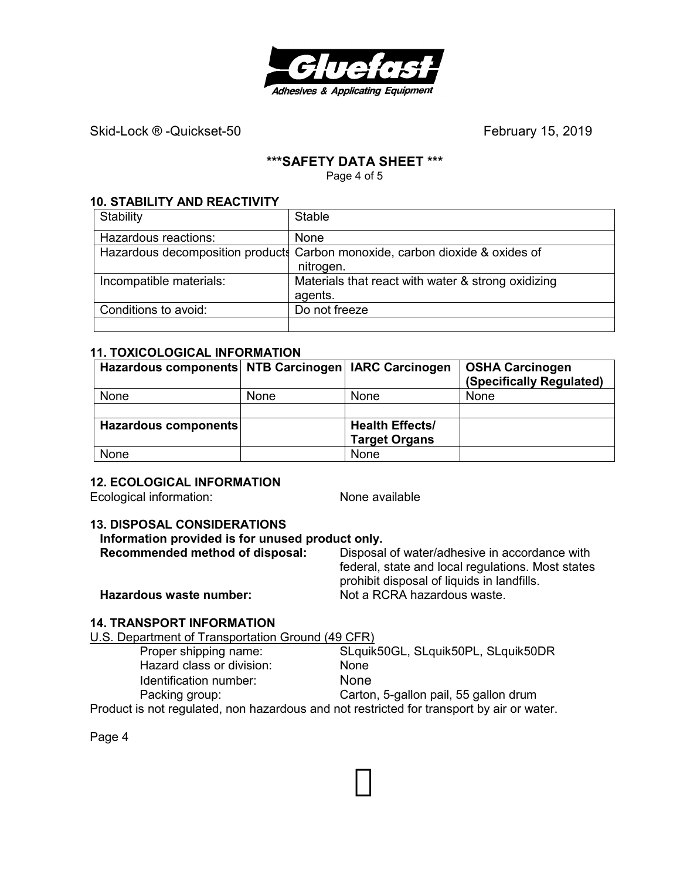

Skid-Lock ® -Quickset-50 **by Contract Contract Contract Contract Contract Contract Contract Contract Contract Contract Contract Contract Contract Contract Contract Contract Contract Contract Contract Contract Contract Cont** 

## **\*\*\*SAFETY DATA SHEET \*\*\***

Page 4 of 5

#### **10. STABILITY AND REACTIVITY**

| Stability               | <b>Stable</b>                                                                |
|-------------------------|------------------------------------------------------------------------------|
| Hazardous reactions:    | None                                                                         |
|                         | Hazardous decomposition products Carbon monoxide, carbon dioxide & oxides of |
|                         | nitrogen.                                                                    |
| Incompatible materials: | Materials that react with water & strong oxidizing                           |
|                         | agents.                                                                      |
| Conditions to avoid:    | Do not freeze                                                                |
|                         |                                                                              |

### **11. TOXICOLOGICAL INFORMATION**

| Hazardous components NTB Carcinogen   IARC Carcinogen |             |                        | <b>OSHA Carcinogen</b><br>(Specifically Regulated) |
|-------------------------------------------------------|-------------|------------------------|----------------------------------------------------|
| None                                                  | <b>None</b> | None                   | None                                               |
|                                                       |             |                        |                                                    |
| Hazardous components                                  |             | <b>Health Effects/</b> |                                                    |
|                                                       |             | <b>Target Organs</b>   |                                                    |
| None                                                  |             | None                   |                                                    |

## **12. ECOLOGICAL INFORMATION**

Ecological information: None available

## **13. DISPOSAL CONSIDERATIONS**

| Information provided is for unused product only. |                                                                                                 |  |  |
|--------------------------------------------------|-------------------------------------------------------------------------------------------------|--|--|
| Recommended method of disposal:                  | Disposal of water/adhesive in accordance with                                                   |  |  |
|                                                  | federal, state and local regulations. Most states<br>prohibit disposal of liquids in landfills. |  |  |
| Hazardous waste number:                          | Not a RCRA hazardous waste.                                                                     |  |  |

## **14. TRANSPORT INFORMATION**

U.S. Department of Transportation Ground (49 CFR)

| Proper shipping name:                                                                     | SLquik50GL, SLquik50PL, SLquik50DR    |
|-------------------------------------------------------------------------------------------|---------------------------------------|
| Hazard class or division:                                                                 | <b>None</b>                           |
| Identification number:                                                                    | <b>None</b>                           |
| Packing group:                                                                            | Carton, 5-gallon pail, 55 gallon drum |
| Product is not requisited, non bazardous and not restricted for transport by air or water |                                       |

Product is not regulated, non hazardous and not restricted for transport by air or water.

Page 4